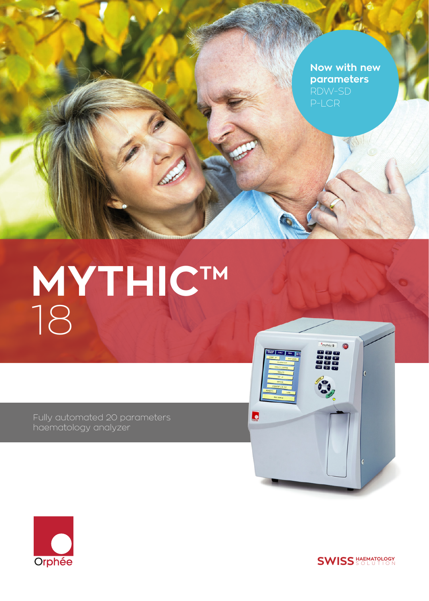**Now with new parameters** P-LCR

# **MYTHIC™** 18

Fully automated 20 parameters haematology analyzer





**SWISS** SOLUTION